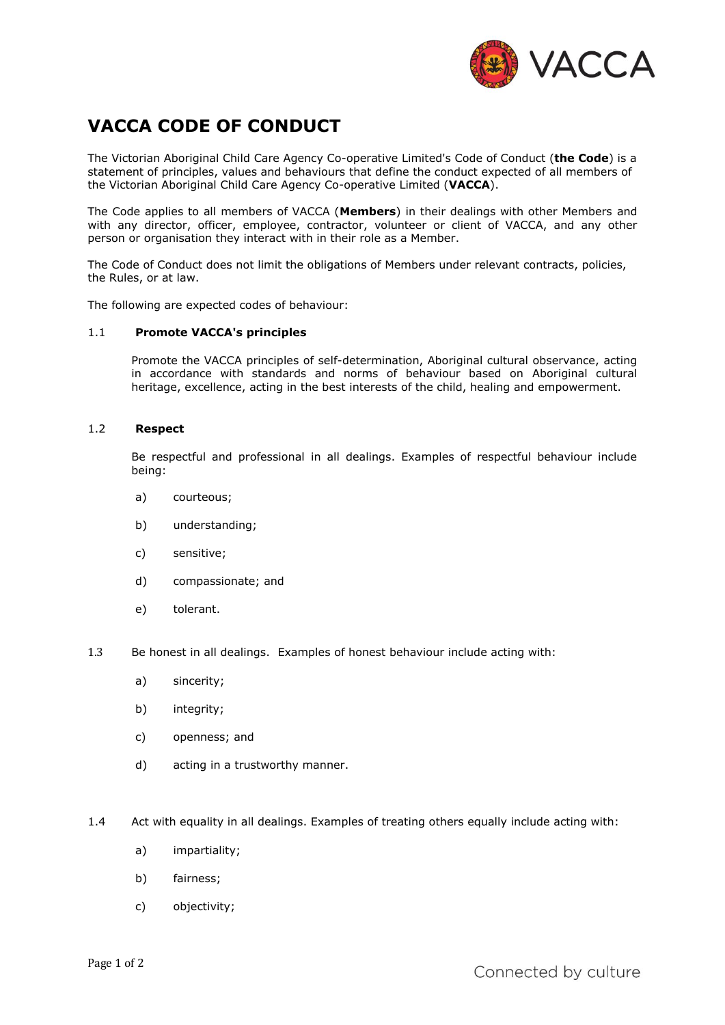

# **VACCA CODE OF CONDUCT**

The Victorian Aboriginal Child Care Agency Co-operative Limited's Code of Conduct (**the Code**) is a statement of principles, values and behaviours that define the conduct expected of all members of the Victorian Aboriginal Child Care Agency Co-operative Limited (**VACCA**).

The Code applies to all members of VACCA (**Members**) in their dealings with other Members and with any director, officer, employee, contractor, volunteer or client of VACCA, and any other person or organisation they interact with in their role as a Member.

The Code of Conduct does not limit the obligations of Members under relevant contracts, policies, the Rules, or at law.

The following are expected codes of behaviour:

## 1.1 **Promote VACCA's principles**

Promote the VACCA principles of self-determination, Aboriginal cultural observance, acting in accordance with standards and norms of behaviour based on Aboriginal cultural heritage, excellence, acting in the best interests of the child, healing and empowerment.

#### 1.2 **Respect**

Be respectful and professional in all dealings. Examples of respectful behaviour include being:

- a) courteous;
- b) understanding;
- c) sensitive;
- d) compassionate; and
- e) tolerant.
- 1.3 Be honest in all dealings. Examples of honest behaviour include acting with:
	- a) sincerity;
	- b) integrity;
	- c) openness; and
	- d) acting in a trustworthy manner.
- 1.4 Act with equality in all dealings. Examples of treating others equally include acting with:
	- a) impartiality;
	- b) fairness;
	- c) objectivity;